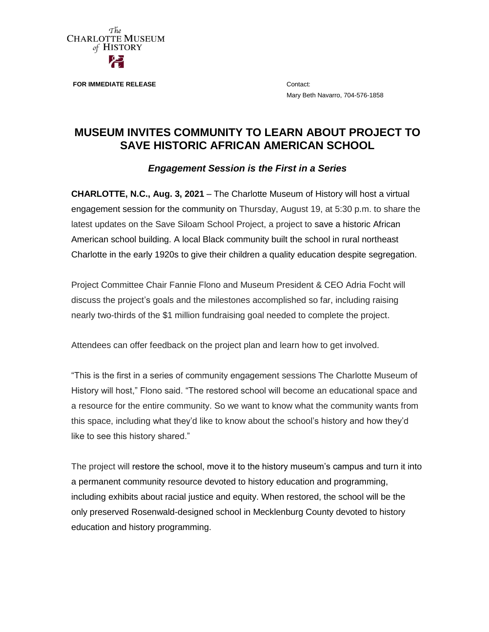

**FOR IMMEDIATE RELEASE Contact:** 

Mary Beth Navarro, 704-576-1858

# **MUSEUM INVITES COMMUNITY TO LEARN ABOUT PROJECT TO SAVE HISTORIC AFRICAN AMERICAN SCHOOL**

# *Engagement Session is the First in a Series*

**CHARLOTTE, N.C., Aug. 3, 2021** – The Charlotte Museum of History will host a virtual engagement session for the community on Thursday, August 19, at 5:30 p.m. to share the latest updates on the Save Siloam School Project, a project to save a historic African American school building. A local Black community built the school in rural northeast Charlotte in the early 1920s to give their children a quality education despite segregation.

Project Committee Chair Fannie Flono and Museum President & CEO Adria Focht will discuss the project's goals and the milestones accomplished so far, including raising nearly two-thirds of the \$1 million fundraising goal needed to complete the project.

Attendees can offer feedback on the project plan and learn how to get involved.

"This is the first in a series of community engagement sessions The Charlotte Museum of History will host," Flono said. "The restored school will become an educational space and a resource for the entire community. So we want to know what the community wants from this space, including what they'd like to know about the school's history and how they'd like to see this history shared."

The project will restore the school, move it to the history museum's campus and turn it into a permanent community resource devoted to history education and programming, including exhibits about racial justice and equity. When restored, the school will be the only preserved Rosenwald-designed school in Mecklenburg County devoted to history education and history programming.